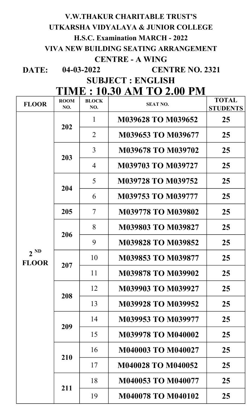# V.W.THAKUR CHARITABLE TRUST'S UTKARSHA VIDYALAYA & JUNIOR COLLEGE H.S.C. Examination MARCH - 2022

# VIVA NEW BUILDING SEATING ARRANGEMENT

# CENTRE - A WING

DATE: 04-03-2022

CENTRE NO. 2321

SUBJECT : ENGLISH

| <b>TIME : 10.30 AM TO 2.00 PM</b> |  |  |
|-----------------------------------|--|--|
|                                   |  |  |

| <b>FLOOR</b>             | <b>ROOM</b><br>NO. | <b>BLOCK</b><br>NO.      | <b>SEAT NO.</b>           | <b>TOTAL</b><br><b>STUDENTS</b> |
|--------------------------|--------------------|--------------------------|---------------------------|---------------------------------|
|                          |                    | $\mathbf{1}$             | M039628 TO M039652        | 25                              |
|                          | 202                | 2                        | M039653 TO M039677        | 25                              |
|                          | 203                | 3                        | M039678 TO M039702        | 25                              |
|                          |                    | $\overline{4}$           | <b>M039703 TO M039727</b> | 25                              |
|                          | 204                | 5                        | <b>M039728 TO M039752</b> | 25                              |
|                          |                    | 6                        | <b>M039753 TO M039777</b> | 25                              |
|                          | 205                | $\overline{\mathcal{I}}$ | <b>M039778 TO M039802</b> | 25                              |
|                          |                    | 8                        | <b>M039803 TO M039827</b> | 25                              |
|                          | 206                | 9                        | <b>M039828 TO M039852</b> | 25                              |
| $2^{ND}$<br><b>FLOOR</b> |                    | 10                       | <b>M039853 TO M039877</b> | 25                              |
|                          | 207                | 11                       | <b>M039878 TO M039902</b> | 25                              |
|                          |                    | 12                       | M039903 TO M039927        | 25                              |
|                          | 208                | 13                       | M039928 TO M039952        | 25                              |
|                          | 209                | 14                       | M039953 TO M039977        | 25                              |
|                          |                    | 15                       | <b>M039978 TO M040002</b> | 25                              |
|                          |                    | 16                       | <b>M040003 TO M040027</b> | 25                              |
|                          | 210                | 17                       | <b>M040028 TO M040052</b> | 25                              |
|                          |                    | 18                       | M040053 TO M040077        | 25                              |
|                          | 211                | 19                       | <b>M040078 TO M040102</b> | 25                              |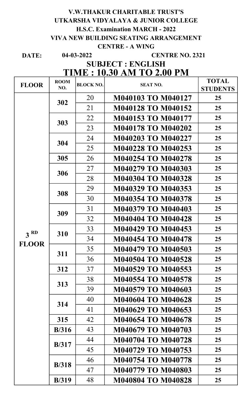## 04-03-2022 V.W.THAKUR CHARITABLE TRUST'S UTKARSHA VIDYALAYA & JUNIOR COLLEGE H.S.C. Examination MARCH - 2022 VIVA NEW BUILDING SEATING ARRANGEMENT CENTRE - A WING

DATE:

#### CENTRE NO. 2321

## TIME : 10.30 AM TO 2.00 PM SUBJECT : ENGLISH

| <b>FLOOR</b>    | <b>ROOM</b>   | <b>BLOCK NO.</b> |                                                                                                                                                                                                                                                                                                                                                                                                                                                                                                                                                                      | <b>TOTAL</b>                                 |  |  |  |
|-----------------|---------------|------------------|----------------------------------------------------------------------------------------------------------------------------------------------------------------------------------------------------------------------------------------------------------------------------------------------------------------------------------------------------------------------------------------------------------------------------------------------------------------------------------------------------------------------------------------------------------------------|----------------------------------------------|--|--|--|
|                 | NO.           |                  | <b>SEAT NO.</b><br>M040103 TO M040127<br><b>M040128 TO M040152</b><br>M040153 TO M040177<br><b>M040178 TO M040202</b><br><b>M040203 TO M040227</b><br>M040228 TO M040253<br>M040254 TO M040278<br>M040279 TO M040303<br>M040304 TO M040328<br>M040329 TO M040353<br>M040354 TO M040378<br><b>M040379 TO M040403</b><br><b>M040404 TO M040428</b><br>M040429 TO M040453<br>M040454 TO M040478<br>M040479 TO M040503<br><b>M040504 TO M040528</b><br>M040529 TO M040553<br>M040554 TO M040578<br>M040579 TO M040603<br><b>M040604 TO M040628</b><br>M040629 TO M040653 | <b>STUDENTS</b>                              |  |  |  |
|                 | 302           | 20               |                                                                                                                                                                                                                                                                                                                                                                                                                                                                                                                                                                      | 25                                           |  |  |  |
|                 |               | 21               |                                                                                                                                                                                                                                                                                                                                                                                                                                                                                                                                                                      | 25                                           |  |  |  |
|                 | 303           | 22               |                                                                                                                                                                                                                                                                                                                                                                                                                                                                                                                                                                      | 25                                           |  |  |  |
|                 |               | 23               |                                                                                                                                                                                                                                                                                                                                                                                                                                                                                                                                                                      | 25                                           |  |  |  |
|                 | 304           | 24               |                                                                                                                                                                                                                                                                                                                                                                                                                                                                                                                                                                      | 25                                           |  |  |  |
|                 |               | 25               |                                                                                                                                                                                                                                                                                                                                                                                                                                                                                                                                                                      | 25                                           |  |  |  |
|                 | 305           | 26               |                                                                                                                                                                                                                                                                                                                                                                                                                                                                                                                                                                      | 25                                           |  |  |  |
|                 | 306           | 27               |                                                                                                                                                                                                                                                                                                                                                                                                                                                                                                                                                                      | 25                                           |  |  |  |
|                 |               | 28               |                                                                                                                                                                                                                                                                                                                                                                                                                                                                                                                                                                      | 25                                           |  |  |  |
|                 | 308           | 29               |                                                                                                                                                                                                                                                                                                                                                                                                                                                                                                                                                                      | 25                                           |  |  |  |
|                 |               | 30               |                                                                                                                                                                                                                                                                                                                                                                                                                                                                                                                                                                      | 25                                           |  |  |  |
|                 | 309           | 31               |                                                                                                                                                                                                                                                                                                                                                                                                                                                                                                                                                                      | 25                                           |  |  |  |
|                 |               | 32               |                                                                                                                                                                                                                                                                                                                                                                                                                                                                                                                                                                      | 25                                           |  |  |  |
| 3 <sup>RD</sup> | 310           | 33               |                                                                                                                                                                                                                                                                                                                                                                                                                                                                                                                                                                      | 25                                           |  |  |  |
| <b>FLOOR</b>    |               | 34               |                                                                                                                                                                                                                                                                                                                                                                                                                                                                                                                                                                      | 25                                           |  |  |  |
|                 |               | 35               |                                                                                                                                                                                                                                                                                                                                                                                                                                                                                                                                                                      | 25                                           |  |  |  |
|                 | 311           | 36               |                                                                                                                                                                                                                                                                                                                                                                                                                                                                                                                                                                      | 25                                           |  |  |  |
|                 | 312           | 37               |                                                                                                                                                                                                                                                                                                                                                                                                                                                                                                                                                                      | 25                                           |  |  |  |
|                 | 313           | 38               |                                                                                                                                                                                                                                                                                                                                                                                                                                                                                                                                                                      | 25                                           |  |  |  |
|                 |               | 39               |                                                                                                                                                                                                                                                                                                                                                                                                                                                                                                                                                                      | 25                                           |  |  |  |
|                 | 314           | 40               |                                                                                                                                                                                                                                                                                                                                                                                                                                                                                                                                                                      | 25                                           |  |  |  |
|                 |               | 41               |                                                                                                                                                                                                                                                                                                                                                                                                                                                                                                                                                                      | 25<br>25<br>25<br>25<br>25<br>25<br>25<br>25 |  |  |  |
|                 | 315           | 42               | M040654 TO M040678                                                                                                                                                                                                                                                                                                                                                                                                                                                                                                                                                   |                                              |  |  |  |
|                 | B/316         | 43               | M040679 TO M040703                                                                                                                                                                                                                                                                                                                                                                                                                                                                                                                                                   |                                              |  |  |  |
|                 |               | 44               | M040704 TO M040728                                                                                                                                                                                                                                                                                                                                                                                                                                                                                                                                                   |                                              |  |  |  |
|                 | B/317         | 45               | M040729 TO M040753                                                                                                                                                                                                                                                                                                                                                                                                                                                                                                                                                   |                                              |  |  |  |
|                 | <b>B</b> /318 | 46               | M040754 TO M040778                                                                                                                                                                                                                                                                                                                                                                                                                                                                                                                                                   |                                              |  |  |  |
|                 |               | 47               | <b>M040779 TO M040803</b>                                                                                                                                                                                                                                                                                                                                                                                                                                                                                                                                            |                                              |  |  |  |
|                 | <b>B</b> /319 | 48               | <b>M040804 TO M040828</b>                                                                                                                                                                                                                                                                                                                                                                                                                                                                                                                                            |                                              |  |  |  |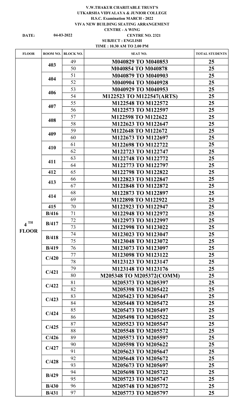#### V.W.THAKUR CHARITABLE TRUST'S UTKARSHA VIDYALAYA & JUNIOR COLLEGE H.S.C. Examination MARCH - 2022 VIVA NEW BUILDING SEATING ARRANGEMENT CENTRE - A WING

04-03-2022

#### DATE: 04-03-2022 CENTRE NO. 2321 SUBJECT : ENGLISH TIME : 10.30 AM TO 2.00 PM

| <b>FLOOR</b>      | ROOM NO.      | <b>BLOCK NO.</b>         | <b>SEAT NO.</b>           | <b>TOTAL STUDENTS</b> |
|-------------------|---------------|--------------------------|---------------------------|-----------------------|
|                   |               | 49                       | M040829 TO M040853        | 25                    |
|                   | 403           | 50                       | M040854 TO M040878        | 25                    |
|                   |               | 51                       | M040879 TO M040903        | 25                    |
|                   | 404           | 52                       | <b>M040904 TO M040928</b> | 25                    |
|                   |               | 53                       | M040929 TO M040953        | 25                    |
|                   | 406           | 54                       | M122523 TO M122547(ARTS)  | 25                    |
|                   |               | 55                       | M122548 TO M122572        | 25                    |
|                   | 407           | 56                       | M122573 TO M122597        | 25                    |
|                   |               | 57                       | M122598 TO M122622        | 25                    |
|                   | 408           | 58                       | M122623 TO M122647        | 25                    |
|                   |               | 59                       | M122648 TO M122672        | 25                    |
|                   | 409           | 60                       | M122673 TO M122697        | 25                    |
|                   |               | 61                       | M122698 TO M122722        | 25                    |
|                   | 410           | 62                       | M122723 TO M122747        | 25                    |
|                   |               | 63                       | M122748 TO M122772        | 25                    |
|                   | 411           | 64                       | M122773 TO M122797        | 25                    |
|                   | 412           | 65                       | M122798 TO M122822        | 25                    |
|                   |               | 66                       | M122823 TO M122847        | 25                    |
|                   | 413           | 67                       | M122848 TO M122872        | 25                    |
|                   |               | 68                       | M122873 TO M122897        | 25                    |
|                   | 414           | 69                       | M122898 TO M122922        | 25                    |
|                   | 415           | 70                       | M122923 TO M122947        | 25                    |
|                   | B/416         | 71                       | M122948 TO M122972        | 25                    |
| $4$ <sup>TH</sup> | <b>B</b> /417 | 72                       | M122973 TO M122997        | 25                    |
|                   |               | 73                       | M122998 TO M123022        | 25                    |
| <b>FLOOR</b>      | B/418         | 74                       | M123023 TO M123047        | 25                    |
|                   |               | 75                       | M123048 TO M123072        | 25                    |
|                   | B/419         | 76                       | M123073 TO M123097        | 25 <sub>1</sub>       |
|                   | C/420         | 77                       | M123098 TO M123122        | 25                    |
|                   |               | 78<br>M123123 TO M123147 |                           | 25                    |
|                   | C/421         | 79                       | M123148 TO M123176        | 25                    |
|                   |               | 80                       | M205348 TO M205372(COMM)  | 25                    |
|                   | C/422         | 81                       | M205373 TO M205397        | 25                    |
|                   |               | 82                       | M205398 TO M205422        | 25 <sub>1</sub>       |
|                   | C/423         | 83                       | M205423 TO M205447        | 25 <sub>1</sub>       |
|                   |               | 84                       | M205448 TO M205472        | 25                    |
|                   | C/424         | 85                       | M205473 TO M205497        | 25                    |
|                   |               | 86                       | M205498 TO M205522        | 25                    |
|                   | C/425         | 87                       | M205523 TO M205547        | 25                    |
|                   |               | 88                       | M205548 TO M205572        | 25                    |
|                   | C/426         | 89                       | M205573 TO M205597        | 25 <sub>1</sub>       |
|                   | C/427         | 90                       | M205598 TO M205622        | 25                    |
|                   |               | 91                       | M205623 TO M205647        | 25                    |
|                   | C/428         | 92                       | M205648 TO M205672        | 25                    |
|                   |               | 93                       | M205673 TO M205697        | 25 <sub>1</sub>       |
|                   | B/429         | 94                       | M205698 TO M205722        | 25 <sub>1</sub>       |
|                   |               | 95                       | M205723 TO M205747        | 25                    |
|                   | B/430         | 96                       | M205748 TO M205772        | 25                    |
|                   | <b>B</b> /431 | 97                       | M205773 TO M205797        | 25                    |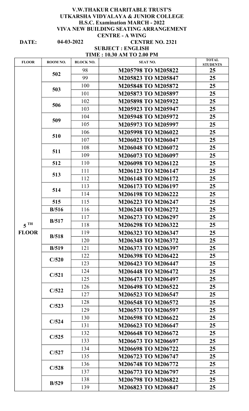#### DATE: 04-03-2022 CENTRE NO. 2321 V.W.THAKUR CHARITABLE TRUST'S UTKARSHA VIDYALAYA & JUNIOR COLLEGE H.S.C. Examination MARCH - 2022 VIVA NEW BUILDING SEATING ARRANGEMENT CENTRE - A WING 04-03-2022

## SUBJECT : ENGLISH TIME : 10.30 AM TO 2.00 PM

| <b>FLOOR</b>      | ROOM NO. | <b>BLOCK NO.</b> | <b>SEAT NO.</b>                                                                                                                                                                                                                                | <b>TOTAL</b><br><b>STUDENTS</b>                           |  |  |  |  |
|-------------------|----------|------------------|------------------------------------------------------------------------------------------------------------------------------------------------------------------------------------------------------------------------------------------------|-----------------------------------------------------------|--|--|--|--|
|                   | 502      | 98               | M205798 TO M205822                                                                                                                                                                                                                             | 25                                                        |  |  |  |  |
|                   |          | 99               | M205823 TO M205847                                                                                                                                                                                                                             | 25                                                        |  |  |  |  |
|                   |          | 100              | M205848 TO M205872                                                                                                                                                                                                                             | 25                                                        |  |  |  |  |
|                   | 503      | 101              | M205873 TO M205897                                                                                                                                                                                                                             | 25                                                        |  |  |  |  |
|                   | 506      | 102              | M205898 TO M205922                                                                                                                                                                                                                             | 25                                                        |  |  |  |  |
|                   |          | 103              | M205923 TO M205947                                                                                                                                                                                                                             | 25                                                        |  |  |  |  |
|                   | 509      | 104              | M205948 TO M205972                                                                                                                                                                                                                             | 25                                                        |  |  |  |  |
|                   |          | 105              | M205973 TO M205997                                                                                                                                                                                                                             | 25                                                        |  |  |  |  |
|                   | 510      | 106              | M205998 TO M206022                                                                                                                                                                                                                             | 25                                                        |  |  |  |  |
|                   |          | 107              | M206023 TO M206047                                                                                                                                                                                                                             | 25                                                        |  |  |  |  |
|                   | 511      | 108              | M206048 TO M206072                                                                                                                                                                                                                             | 25                                                        |  |  |  |  |
|                   |          | 109              | M206073 TO M206097                                                                                                                                                                                                                             | 25                                                        |  |  |  |  |
|                   | 512      | 110              | M206098 TO M206122                                                                                                                                                                                                                             | 25                                                        |  |  |  |  |
|                   | 513      | 111              | M206123 TO M206147                                                                                                                                                                                                                             | 25                                                        |  |  |  |  |
|                   |          | 112              | M206148 TO M206172                                                                                                                                                                                                                             | 25                                                        |  |  |  |  |
|                   | 514      | 113              | M206173 TO M206197                                                                                                                                                                                                                             | 25                                                        |  |  |  |  |
|                   |          | 114              | M206198 TO M206222                                                                                                                                                                                                                             | 25                                                        |  |  |  |  |
|                   | 515      | 115              | M206223 TO M206247                                                                                                                                                                                                                             | 25                                                        |  |  |  |  |
|                   | B/516    | 116              | M206248 TO M206272                                                                                                                                                                                                                             | 25                                                        |  |  |  |  |
|                   | B/517    | 117              | M206273 TO M206297                                                                                                                                                                                                                             | 25                                                        |  |  |  |  |
| $5$ <sup>TH</sup> |          | 118              | M206298 TO M206322                                                                                                                                                                                                                             | 25                                                        |  |  |  |  |
| <b>FLOOR</b>      | B/518    | 119              | M206323 TO M206347                                                                                                                                                                                                                             | 25                                                        |  |  |  |  |
|                   |          | 120              | M206348 TO M206372<br>M206373 TO M206397<br>M206398 TO M206422<br>M206423 TO M206447<br>M206448 TO M206472<br>M206473 TO M206497<br>M206498 TO M206522<br>M206523 TO M206547<br>M206548 TO M206572<br>M206573 TO M206597<br>M206598 TO M206622 | 25                                                        |  |  |  |  |
|                   | B/519    | 121              |                                                                                                                                                                                                                                                | 25                                                        |  |  |  |  |
|                   | C/520    | 122              |                                                                                                                                                                                                                                                | 25                                                        |  |  |  |  |
|                   |          | 123              |                                                                                                                                                                                                                                                | 25                                                        |  |  |  |  |
|                   | C/521    | 124              |                                                                                                                                                                                                                                                | 25                                                        |  |  |  |  |
|                   |          | 125              | 25<br>25<br>25<br>25<br>25<br>25<br>M206623 TO M206647<br>25                                                                                                                                                                                   |                                                           |  |  |  |  |
|                   | C/522    | 126              |                                                                                                                                                                                                                                                |                                                           |  |  |  |  |
|                   |          | 127              |                                                                                                                                                                                                                                                | 25<br>25<br>25<br>25<br>25<br>25<br>25<br>25 <sub>1</sub> |  |  |  |  |
|                   | C/523    | 128              |                                                                                                                                                                                                                                                |                                                           |  |  |  |  |
|                   |          | 129              |                                                                                                                                                                                                                                                |                                                           |  |  |  |  |
|                   | C/524    | 130              |                                                                                                                                                                                                                                                |                                                           |  |  |  |  |
|                   |          | 131              |                                                                                                                                                                                                                                                |                                                           |  |  |  |  |
|                   | C/525    | 132              | M206648 TO M206672                                                                                                                                                                                                                             |                                                           |  |  |  |  |
|                   |          | 133              | M206673 TO M206697                                                                                                                                                                                                                             |                                                           |  |  |  |  |
|                   | C/527    | 134              | M206698 TO M206722                                                                                                                                                                                                                             |                                                           |  |  |  |  |
|                   |          | 135              | M206723 TO M206747                                                                                                                                                                                                                             |                                                           |  |  |  |  |
|                   | C/528    | 136              | M206748 TO M206772                                                                                                                                                                                                                             |                                                           |  |  |  |  |
|                   |          | 137              | M206773 TO M206797                                                                                                                                                                                                                             |                                                           |  |  |  |  |
|                   | B/529    | 138              | M206798 TO M206822                                                                                                                                                                                                                             |                                                           |  |  |  |  |
|                   |          | 139              | M206823 TO M206847                                                                                                                                                                                                                             |                                                           |  |  |  |  |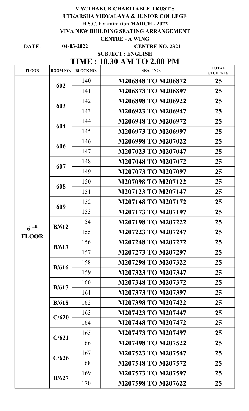|                                   |                                            |                  | <b>V.W.THAKUR CHARITABLE TRUST'S</b>                                            |                 |  |  |
|-----------------------------------|--------------------------------------------|------------------|---------------------------------------------------------------------------------|-----------------|--|--|
|                                   |                                            |                  | UTKARSHA VIDYALAYA & JUNIOR COLLEGE                                             |                 |  |  |
|                                   |                                            |                  | <b>H.S.C. Examination MARCH - 2022</b><br>VIVA NEW BUILDING SEATING ARRANGEMENT |                 |  |  |
|                                   |                                            |                  | <b>CENTRE - A WING</b>                                                          |                 |  |  |
| DATE:                             | $04 - 03 - 2022$<br><b>CENTRE NO. 2321</b> |                  |                                                                                 |                 |  |  |
|                                   |                                            |                  | <b>SUBJECT: ENGLISH</b>                                                         |                 |  |  |
|                                   |                                            |                  | <b>TIME : 10.30 AM TO 2.00 PM</b>                                               | <b>TOTAL</b>    |  |  |
| <b>FLOOR</b>                      | ROOM NO.                                   | <b>BLOCK NO.</b> | <b>SEAT NO.</b>                                                                 | <b>STUDENTS</b> |  |  |
|                                   | 602                                        | 140              | <b>M206848 TO M206872</b>                                                       | 25              |  |  |
|                                   |                                            | 141              | M206873 TO M206897                                                              | 25              |  |  |
|                                   | 603                                        | 142              | M206898 TO M206922                                                              | 25              |  |  |
|                                   |                                            | 143              | M206923 TO M206947                                                              | 25              |  |  |
|                                   | 604                                        | 144              | M206948 TO M206972                                                              | 25              |  |  |
|                                   |                                            | 145              | M206973 TO M206997                                                              | 25              |  |  |
|                                   | 606                                        | 146              | M206998 TO M207022                                                              | 25              |  |  |
|                                   |                                            | 147              | M207023 TO M207047                                                              | 25              |  |  |
|                                   | 607                                        | 148              | <b>M207048 TO M207072</b>                                                       | 25              |  |  |
|                                   |                                            | 149              | M207073 TO M207097                                                              | 25              |  |  |
|                                   |                                            | 150              | <b>M207098 TO M207122</b>                                                       | 25              |  |  |
|                                   | 608                                        | 151              | M207123 TO M207147                                                              | 25              |  |  |
|                                   | 609                                        | 152              | <b>M207148 TO M207172</b>                                                       | 25              |  |  |
| $6$ <sup>TH</sup><br><b>FLOOR</b> |                                            | 153              | M207173 TO M207197                                                              | 25              |  |  |
|                                   | B/612                                      | 154              | M207198 TO M207222                                                              | 25              |  |  |
|                                   |                                            | 155              | M207223 TO M207247                                                              | 25              |  |  |
|                                   | B/613                                      | 156              | <b>M207248 TO M207272</b>                                                       | 25              |  |  |
|                                   |                                            | 157              | M207273 TO M207297                                                              | 25              |  |  |
|                                   |                                            | 158              | M207298 TO M207322                                                              | 25              |  |  |
|                                   | B/616                                      | 159              | M207323 TO M207347                                                              | 25              |  |  |
|                                   |                                            | 160              | <b>M207348 TO M207372</b>                                                       | 25              |  |  |
|                                   | B/617                                      | 161              | M207373 TO M207397                                                              | 25              |  |  |
|                                   | B/618                                      | 162              | M207398 TO M207422                                                              | 25              |  |  |
|                                   |                                            | 163              | M207423 TO M207447                                                              | 25              |  |  |
|                                   | C/620                                      | 164              | M207448 TO M207472                                                              | 25              |  |  |
|                                   |                                            | 165              | M207473 TO M207497                                                              | 25              |  |  |
|                                   | C/621                                      | 166              | M207498 TO M207522                                                              | 25              |  |  |
|                                   |                                            | 167              | M207523 TO M207547                                                              | 25              |  |  |
|                                   | C/626                                      | 168              | M207548 TO M207572                                                              | 25              |  |  |
|                                   |                                            | 169              | M207573 TO M207597                                                              | 25              |  |  |
|                                   | B/627                                      | 170              | M207598 TO M207622                                                              | 25              |  |  |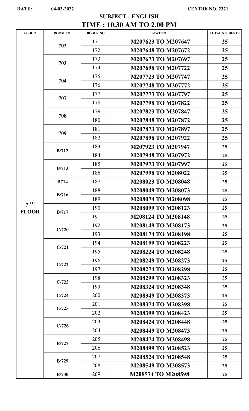## TIME : 10.30 AM TO 2.00 PM SUBJECT : ENGLISH

| <b>FLOOR</b>    | ROOM NO. | <b>BLOCK NO.</b>                                                                                                                                                                                                                   | <b>SEAT NO.</b>                          |                                                                                                                                                                                                                                         |  |  |  |  |  |
|-----------------|----------|------------------------------------------------------------------------------------------------------------------------------------------------------------------------------------------------------------------------------------|------------------------------------------|-----------------------------------------------------------------------------------------------------------------------------------------------------------------------------------------------------------------------------------------|--|--|--|--|--|
|                 | 702      | 171                                                                                                                                                                                                                                | M207623 TO M207647                       |                                                                                                                                                                                                                                         |  |  |  |  |  |
|                 |          | 172                                                                                                                                                                                                                                | M207648 TO M207672                       |                                                                                                                                                                                                                                         |  |  |  |  |  |
|                 | 703      | 173                                                                                                                                                                                                                                | M207673 TO M207697                       |                                                                                                                                                                                                                                         |  |  |  |  |  |
|                 |          |                                                                                                                                                                                                                                    | M207698 TO M207722                       |                                                                                                                                                                                                                                         |  |  |  |  |  |
|                 |          |                                                                                                                                                                                                                                    | M207723 TO M207747                       | <b>TOTAL STUDENTS</b><br>25<br>25<br>25<br>25<br>25<br>25<br>25<br>25<br>25<br>25<br>25<br>25<br>25<br>25<br>25<br>25<br>25<br>25<br>25<br>25<br>25<br>25<br>25<br>25<br>25<br>25<br>25<br>25<br>25<br>25<br>25<br>25<br>25<br>25<br>25 |  |  |  |  |  |
|                 |          | 176                                                                                                                                                                                                                                | <b>M207748 TO M207772</b>                |                                                                                                                                                                                                                                         |  |  |  |  |  |
|                 |          | 177                                                                                                                                                                                                                                | M207773 TO M207797                       |                                                                                                                                                                                                                                         |  |  |  |  |  |
|                 |          | 178                                                                                                                                                                                                                                | <b>M207798 TO M207822</b>                |                                                                                                                                                                                                                                         |  |  |  |  |  |
|                 |          | 179                                                                                                                                                                                                                                | M207823 TO M207847                       |                                                                                                                                                                                                                                         |  |  |  |  |  |
|                 |          | 174<br>175<br>704<br>707<br>708<br>180<br>181<br>709<br>182<br>183<br>B/712<br>184<br>185<br>B/713<br>186<br>187<br><b>B714</b><br>188<br>B/716<br>189<br>190<br>B/717<br>191<br>192<br>C/720<br>193<br>194<br>C/721<br>195<br>196 | M207848 TO M207872                       |                                                                                                                                                                                                                                         |  |  |  |  |  |
|                 |          |                                                                                                                                                                                                                                    | M207873 TO M207897                       |                                                                                                                                                                                                                                         |  |  |  |  |  |
|                 |          |                                                                                                                                                                                                                                    | M207898 TO M207922                       |                                                                                                                                                                                                                                         |  |  |  |  |  |
|                 |          |                                                                                                                                                                                                                                    | M207923 TO M207947                       |                                                                                                                                                                                                                                         |  |  |  |  |  |
|                 |          |                                                                                                                                                                                                                                    | M207948 TO M207972                       |                                                                                                                                                                                                                                         |  |  |  |  |  |
|                 |          |                                                                                                                                                                                                                                    | M207973 TO M207997                       |                                                                                                                                                                                                                                         |  |  |  |  |  |
|                 |          |                                                                                                                                                                                                                                    | M207998 TO M208022<br>M208023 TO M208048 |                                                                                                                                                                                                                                         |  |  |  |  |  |
|                 |          |                                                                                                                                                                                                                                    |                                          |                                                                                                                                                                                                                                         |  |  |  |  |  |
|                 |          |                                                                                                                                                                                                                                    | M208049 TO M208073                       |                                                                                                                                                                                                                                         |  |  |  |  |  |
|                 |          |                                                                                                                                                                                                                                    | <b>M208074 TO M208098</b>                |                                                                                                                                                                                                                                         |  |  |  |  |  |
| 7 <sup>TH</sup> |          |                                                                                                                                                                                                                                    | M208099 TO M208123                       |                                                                                                                                                                                                                                         |  |  |  |  |  |
| <b>FLOOR</b>    |          |                                                                                                                                                                                                                                    | <b>M208124 TO M208148</b>                |                                                                                                                                                                                                                                         |  |  |  |  |  |
|                 |          |                                                                                                                                                                                                                                    | <b>M208149 TO M208173</b>                |                                                                                                                                                                                                                                         |  |  |  |  |  |
|                 |          |                                                                                                                                                                                                                                    | M208174 TO M208198                       |                                                                                                                                                                                                                                         |  |  |  |  |  |
|                 |          |                                                                                                                                                                                                                                    | M208199 TO M208223                       |                                                                                                                                                                                                                                         |  |  |  |  |  |
|                 |          |                                                                                                                                                                                                                                    | <b>M208224 TO M208248</b>                |                                                                                                                                                                                                                                         |  |  |  |  |  |
|                 | C/722    |                                                                                                                                                                                                                                    | M208249 TO M208273                       |                                                                                                                                                                                                                                         |  |  |  |  |  |
|                 |          | 197                                                                                                                                                                                                                                | <b>M208274 TO M208298</b>                |                                                                                                                                                                                                                                         |  |  |  |  |  |
|                 |          | 198                                                                                                                                                                                                                                | M208299 TO M208323                       |                                                                                                                                                                                                                                         |  |  |  |  |  |
|                 | C/723    | 199                                                                                                                                                                                                                                | <b>M208324 TO M208348</b>                |                                                                                                                                                                                                                                         |  |  |  |  |  |
|                 | C/724    | 200                                                                                                                                                                                                                                | M208349 TO M208373                       |                                                                                                                                                                                                                                         |  |  |  |  |  |
|                 |          | 201                                                                                                                                                                                                                                | <b>M208374 TO M208398</b>                |                                                                                                                                                                                                                                         |  |  |  |  |  |
|                 | C/725    | 202                                                                                                                                                                                                                                | M208399 TO M208423                       |                                                                                                                                                                                                                                         |  |  |  |  |  |
|                 |          | 203                                                                                                                                                                                                                                | <b>M208424 TO M208448</b>                |                                                                                                                                                                                                                                         |  |  |  |  |  |
|                 | C/726    | 204                                                                                                                                                                                                                                | M208449 TO M208473                       |                                                                                                                                                                                                                                         |  |  |  |  |  |
|                 |          | 205                                                                                                                                                                                                                                | <b>M208474 TO M208498</b>                |                                                                                                                                                                                                                                         |  |  |  |  |  |
|                 | B/727    | 206                                                                                                                                                                                                                                | M208499 TO M208523                       | 25                                                                                                                                                                                                                                      |  |  |  |  |  |
|                 |          | 207                                                                                                                                                                                                                                | <b>M208524 TO M208548</b>                | 25                                                                                                                                                                                                                                      |  |  |  |  |  |
|                 | B/729    |                                                                                                                                                                                                                                    |                                          |                                                                                                                                                                                                                                         |  |  |  |  |  |
|                 |          | 208                                                                                                                                                                                                                                | M208549 TO M208573                       | 25                                                                                                                                                                                                                                      |  |  |  |  |  |
|                 | B/730    | 209                                                                                                                                                                                                                                | M208574 TO M208598                       | 25                                                                                                                                                                                                                                      |  |  |  |  |  |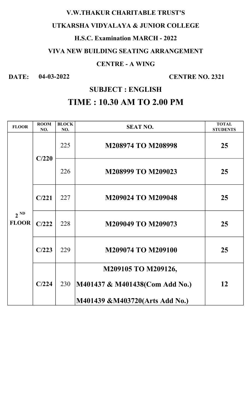## V.W.THAKUR CHARITABLE TRUST'S

## UTKARSHA VIDYALAYA & JUNIOR COLLEGE

## H.S.C. Examination MARCH - 2022

# VIVA NEW BUILDING SEATING ARRANGEMENT

## CENTRE - A WING

# DATE: 04-03-2022 CENTRE NO. 2321

# SUBJECT : ENGLISH

# TIME : 10.30 AM TO 2.00 PM

| <b>FLOOR</b>             | <b>ROOM</b><br>NO. | <b>BLOCK</b><br>NO. | <b>SEAT NO.</b>                | <b>TOTAL</b><br><b>STUDENTS</b> |
|--------------------------|--------------------|---------------------|--------------------------------|---------------------------------|
| $2^{ND}$<br><b>FLOOR</b> | C/220              | 225                 | <b>M208974 TO M208998</b>      | 25                              |
|                          |                    | 226                 | M208999 TO M209023             | 25                              |
|                          | C/221              | 227                 | <b>M209024 TO M209048</b>      | 25                              |
|                          | C/222              | 228                 | M209049 TO M209073             | 25                              |
|                          | C/223              | 229                 | <b>M209074 TO M209100</b>      | 25                              |
|                          |                    |                     | M209105 TO M209126,            |                                 |
|                          | C/224              | 230                 | M401437 & M401438(Com Add No.) | 12                              |
|                          |                    |                     | M401439 &M403720(Arts Add No.) |                                 |